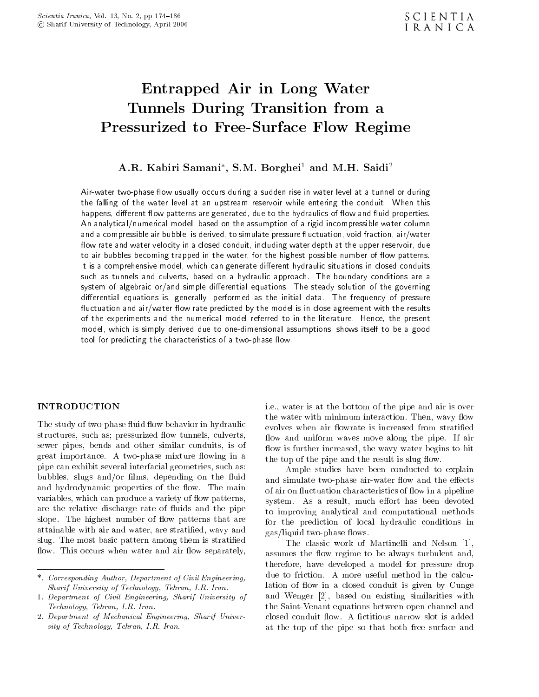# Entrapped Air in Long Water Tunnels During Transition from <sup>a</sup> Pressurized to Free-Surface Flow Regime

# A.R. Kabiri Samani , S.M. Dorghei<sup>-</sup> and M.H. Saidi<sup>-</sup>

Air-water two-phase flow usually occurs during a sudden rise in water level at a tunnel or during the falling of the water level at an upstream reservoir while entering the conduit. When this happens, different flow patterns are generated, due to the hydraulics of flow and fluid properties. An analytical/numerical model, based on the assumption of a rigid incompressible water column and a compressible air bubble, is derived, to simulate pressure fluctuation, void fraction, air/water flow rate and water velocity in a closed conduit, including water depth at the upper reservoir, due to air bubbles becoming trapped in the water, for the highest possible number of flow patterns. It is a comprehensive model, which can generate different hydraulic situations in closed conduits such as tunnels and culverts, based on <sup>a</sup> hydraulic approach. The boundary conditions are <sup>a</sup> system of algebraic or/and simple differential equations. The steady solution of the governing differential equations is, generally, performed as the initial data. The frequency of pressure fluctuation and air/water flow rate predicted by the model is in close agreement with the results of the experiments and the numerical model referred to in the literature. Hence, the present model, which is simply derived due to one-dimensional assumptions, shows itself to be a good tool for predicting the characteristics of a two-phase flow.

## INTRODUCTION

The study of two-phase fluid flow behavior in hydraulic structures, such as; pressurized flow tunnels, culverts, sewer pipes, bends and other similar conduits, is of great importance. A two-phase mixture flowing in a pipe can exhibit several interfacial geometries, such as: bubbles, slugs and/or films, depending on the fluid and hydrodynamic properties of the flow. The main variables, which can produce a variety of flow patterns, are the relative discharge rate of fluids and the pipe slope. The highest number of flow patterns that are attainable with air and water, are stratied, wavy and slug. The most basic pattern among them is stratied flow. This occurs when water and air flow separately, i.e., water is at the bottom of the pipe and air is over the water with minimum interaction. Then, wavy flow evolves when air flowrate is increased from stratified flow and uniform waves move along the pipe. If air flow is further increased, the wavy water begins to hit the top of the pipe and the result is slug flow.

Ample studies have been conducted to explain and simulate two-phase air-water flow and the effects of air on fluctuation characteristics of flow in a pipeline system. As a result, much effort has been devoted to improving analytical and computational methods for the prediction of local hydraulic conditions in gas/liquid two-phase flows.

The classic work of Martinelli and Nelson [1], assumes the flow regime to be always turbulent and, therefore, have developed <sup>a</sup> model for pressure drop due to friction. <sup>A</sup> more useful method in the calculation of flow in a closed conduit is given by Cunge and Wenger [2], based on existing similarities with the Saint-Venant equations between open channel and closed conduit flow. A fictitious narrow slot is added at the top of the pipe so that both free surface and

<sup>\*.</sup> Corresponding Author, Department of Civil Engineering, Sharif University of Technology, Tehran, I.R. Iran.

<sup>1.</sup> Department of Civil Engineering, Sharif University of Technology, Tehran, I.R. Iran.

<sup>2.</sup> Department of Mechanical Engineering, Sharif University of Technology, Tehran, I.R. Iran.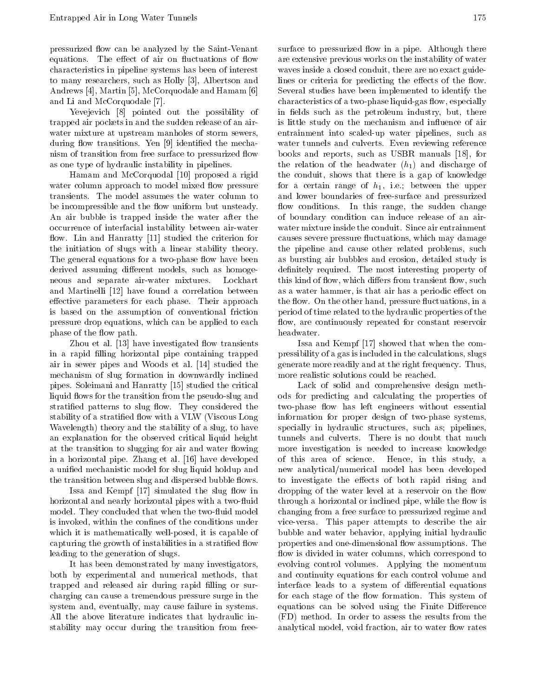pressurized flow can be analyzed by the Saint-Venant equations. The effect of air on fluctuations of flow characteristics in pipeline systems has been of interest to many researchers, such as Holly [3], Albertson and Andrews [4], Martin [5], McCorquodale and Hamam [6] and Li and McCorquodale [7].

Yevejevich [8] pointed out the possibility of trapped air pockets in and the sudden release of an airwater mixture at upstream manholes of storm sewers, during flow transitions. Yen [9] identified the mechanism of transition from free surface to pressurized flow as one type of hydraulic instability in pipelines.

Hamam and McCorquodal [10] proposed a rigid water column approach to model mixed flow pressure transients. The model assumes the water column to be incompressible and the flow uniform but unsteady. An air bubble is trapped inside the water after the occurrence of interfacial instability between air-water flow. Lin and Hanratty [11] studied the criterion for the initiation of slugs with <sup>a</sup> linear stability theory. The general equations for a two-phase flow have been derived assuming different models, such as homogeneous and separate air-water mixtures. Lockhart and Martinelli [12] have found <sup>a</sup> correlation between effective parameters for each phase. Their approach is based on the assumption of conventional friction pressure drop equations, which can be applied to each phase of the flow path.

Zhou et al. [13] have investigated flow transients in a rapid filling horizontal pipe containing trapped air in sewer pipes and Woods et al. [14] studied the mechanism of slug formation in downwardly inclined pipes. Soleimani and Hanratty [15] studied the critical liquid flows for the transition from the pseudo-slug and stratified patterns to slug flow. They considered the stability of a stratified flow with a VLW (Viscous Long Wavelength) theory and the stability of a slug, to have an explanation for the observed critical liquid height at the transition to slugging for air and water flowing in a horizontal pipe. Zhang et al. [16] have developed <sup>a</sup> unied mechanistic model for slug liquid holdup and the transition between slug and dispersed bubble flows.

Issa and Kempf  $[17]$  simulated the slug flow in horizontal and nearly horizontal pipes with a two-fluid model. They concluded that when the two-fluid model is invoked, within the confines of the conditions under which it is mathematically well-posed, it is capable of capturing the growth of instabilities in a stratified flow leading to the generation of slugs.

It has been demonstrated by many investigators, both by experimental and numerical methods, that trapped and released air during rapid filling or surcharging can cause a tremendous pressure surge in the system and, eventually, may cause failure in systems. All the above literature indicates that hydraulic instability may occur during the transition from freesurface to pressurized flow in a pipe. Although there are extensive previous works on the instability of water waves inside a closed conduit, there are no exact guidelines or criteria for predicting the effects of the flow. Several studies have been implemented to identify the characteristics of a two-phase liquid-gas flow, especially in fields such as the petroleum industry, but, there is little study on the mechanism and influence of air entrainment into scaled-up water pipelines, such as water tunnels and culverts. Even reviewing reference books and reports, such as USBR manuals [18], for the relation of the headwater  $(h_1)$  and discharge of the conduit, shows that there is <sup>a</sup> gap of knowledge for a certain range of  $h_1$ , i.e.; between the upper and lower boundaries of free-surface and pressurized flow conditions. In this range, the sudden change of boundary condition can induce release of an airwater mixture inside the conduit. Since air entrainment causes severe pressure fluctuations, which may damage the pipeline and cause other related problems, such as bursting air bubbles and erosion, detailed study is definitely required. The most interesting property of this kind of flow, which differs from transient flow, such as a water hammer, is that air has a periodic effect on the flow. On the other hand, pressure fluctuations, in a period of time related to the hydraulic properties of the flow, are continuously repeated for constant reservoir headwater.

Issa and Kempf [17] showed that when the compressibility of a gas is included in the calculations, slugs generate more readily and at the right frequency. Thus, more realistic solutions could be reached.

Lack of solid and comprehensive design methods for predicting and calculating the properties of two-phase flow has left engineers without essential information for proper design of two-phase systems, specially in hydraulic structures, such as; pipelines, tunnels and culverts. There is no doubt that much more investigation is needed to increase knowledge Hence, in this study, a new analytical/numerical model has been developed to investigate the effects of both rapid rising and dropping of the water level at a reservoir on the flow through a horizontal or inclined pipe, while the flow is changing from a free surface to pressurized regime and vice-versa. This paper attempts to describe the air bubble and water behavior, applying initial hydraulic properties and one-dimensional flow assumptions. The flow is divided in water columns, which correspond to evolving control volumes. Applying the momentum and continuity equations for each control volume and interface leads to a system of differential equations for each stage of the flow formation. This system of equations can be solved using the Finite Difference (FD) method. In order to assess the results from the analytical model, void fraction, air to water flow rates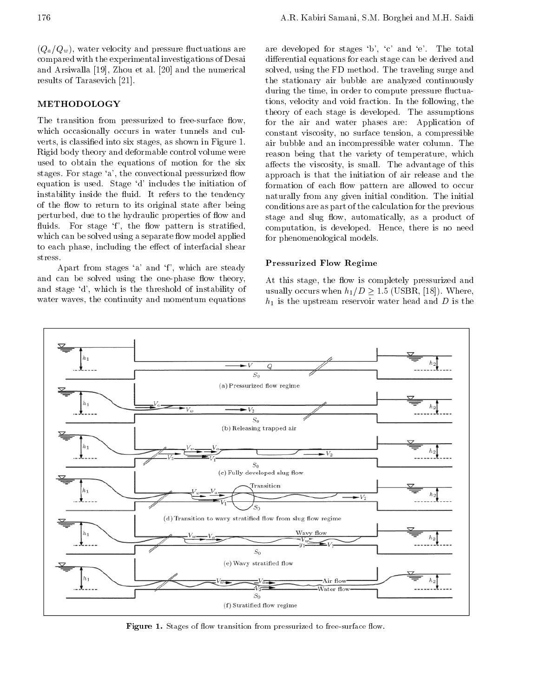# METHODOLOGY

The transition from pressurized to free-surface flow, which occasionally occurs in water tunnels and culverts, is classied into six stages, as shown in Figure 1. Rigid body theory and deformable control volume were used to obtain the equations of motion for the six stages. For stage 'a', the convectional pressurized flow equation is used. Stage 'd' includes the initiation of instability inside the fluid. It refers to the tendency of the flow to return to its original state after being perturbed, due to the hydraulic properties of flow and fluids. For stage 'f', the flow pattern is stratified, which can be solved using a separate flow model applied to each phase, including the effect of interfacial shear stress.

Apart from stages 'a' and 'f', which are steady and can be solved using the one-phase flow theory, and stage 'd', which is the threshold of instability of water waves, the continuity and momentum equations are developed for stages `b', `c' and `e'. The total differential equations for each stage can be derived and solved, using the FD method. The traveling surge and the stationary air bubble are analyzed continuously during the time, in order to compute pressure fluctuations, velocity and void fraction. In the following, the theory of each stage is developed. The assumptions for the air and water phases are: Application of constant viscosity, no surface tension, <sup>a</sup> compressible air bubble and an incompressible water column. The reason being that the variety of temperature, which affects the viscosity, is small. The advantage of this approach is that the initiation of air release and the formation of each flow pattern are allowed to occur naturally from any given initial condition. The initial conditions are as part of the calculation for the previous stage and slug flow, automatically, as a product of computation, is developed. Hence, there is no need for phenomenological models.

#### Pressurized Flow Regime

At this stage, the flow is completely pressurized and usually occurs when  $h_1/D \ge 1.5$  (USBR, [18]). Where,  $h_1$  is the upstream reservoir water head and D is the



Figure 1. Stages of 
ow transition from pressurized to free-surface 
ow.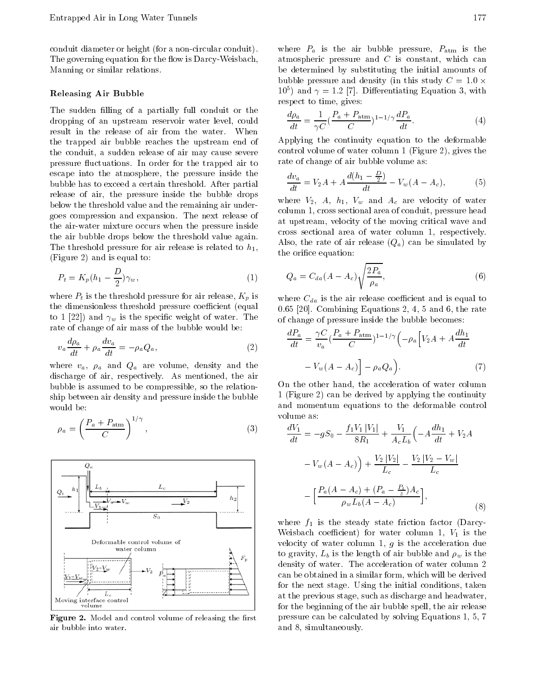conduit diameter or height (for a non-circular conduit). The governing equation for the flow is Darcy-Weisbach, Manning or similar relations.

## Releasing Air Bubble

The sudden filling of a partially full conduit or the dropping of an upstream reservoir water level, could result in the release of air from the water. When the trapped air bubble reaches the upstream end of the conduit, <sup>a</sup> sudden release of air may cause severe pressure fluctuations. In order for the trapped air to escape into the atmosphere, the pressure inside the bubble has to exceed a certain threshold. After partial release of air, the pressure inside the bubble drops below the threshold value and the remaining air undergoes compression and expansion. The next release of the air-water mixture occurs when the pressure inside the air bubble drops below the threshold value again. The threshold pressure for air release is related to  $h_1$ , (Figure 2) and is equal to:

$$
P_t = K_p(h_1 - \frac{D}{2})\gamma_w,\tag{1}
$$

where  $P_t$  is the threshold pressure for air release,  $K_p$  is the dimensionless threshold pressure coefficient (equal to 1 [22]) and  $\gamma_w$  is the specific weight of water. The rate of change of air mass of the bubble would be:

$$
v_a \frac{d\rho_a}{dt} + \rho_a \frac{dv_a}{dt} = \rho_a Q_a, \qquad (2)
$$

where  $v_a$ ,  $\rho_a$  and  $Q_a$  are volume, density and the discharge of air, respectively. As mentioned, the air bubble is assumed to be compressible, so the relationship between air density and pressure inside the bubble would be:

$$
\rho_a = \left(\frac{P_a + P_{\text{atm}}}{C}\right)^{1/\gamma},\tag{3}
$$



Figure 2. Model and control volume of releasing the rst air bubble into water.

where  $P_a$  is the air bubble pressure,  $P_{\text{atm}}$  is the atmospheric pressure and <sup>C</sup> is constant, which can be determined by substituting the initial amounts of bubble pressure and density (in this study  $C = 1.0 \times$  $10<sup>3</sup>$ ) and  $\gamma = 1.2$  [7]. Differentiating Equation 5, with respect to time, gives:

$$
\frac{d\rho_a}{dt} = \frac{1}{\gamma C} \left(\frac{P_a + P_{\text{atm}}}{C}\right)^{1 - 1/\gamma} \frac{dP_a}{dt}.\tag{4}
$$

Applying the continuity equation to the deformable control volume of water column 1 (Figure 2), gives the rate of change of air bubble volume as:

$$
\frac{dv_a}{dt} = V_2 A + A \frac{d(h_1 - \frac{D}{2})}{dt} \quad V_w(A \quad A_c), \tag{5}
$$

where  $V_2$ , A,  $h_1$ ,  $V_w$  and  $A_c$  are velocity of water column 1, cross sectional area of conduit, pressure head at upstream, velocity of the moving critical wave and cross sectional area of water column 1, respectively. Also, the rate of air release  $(Q_a)$  can be simulated by the orifice equation:

$$
Q_a = C_{da}(A \quad A_c) \sqrt{\frac{2P_a}{\rho_a}}, \tag{6}
$$

where  $C_{da}$  is the air release coefficient and is equal to 0.65 [20]. Combining Equations 2, 4, 5 and 6, the rate of change of pressure inside the bubble becomes:

$$
\frac{dP_a}{dt} = \frac{\gamma C}{v_a} \left(\frac{P_a + P_{\text{atm}}}{C}\right)^{1 - 1/\gamma} \left(\rho_a \left[V_2 A + A \frac{dh_1}{dt}\right]\right)
$$

$$
V_w(A - A_c)\right] \rho_a Q_a \quad (7)
$$

On the other hand, the acceleration of water column <sup>1</sup> (Figure 2) can be derived by applying the continuity and momentum equations to the deformable control volume as:

$$
\frac{dV_1}{dt} = gS_0 \quad \frac{f_1V_1|V_1|}{8R_1} + \frac{V_1}{A_cL_b} \left( A \frac{dh_1}{dt} + V_2A \right)
$$

$$
V_w(A \quad A_c) + \frac{V_2|V_2|}{L_c} \quad \frac{V_2|V_2 - V_w|}{L_c}
$$

$$
\left[ \frac{P_a(A \quad A_c) + (P_a \quad \frac{P_t}{z})A_c}{\rho_wL_b(A \quad A_c)} \right],
$$
(8)

where  $f_1$  is the steady state friction factor (Darcy-Weisbach coefficient) for water column 1,  $V_1$  is the velocity of water column 1,  $g$  is the acceleration due to gravity,  $L_b$  is the length of air bubble and  $\rho_w$  is the density of water. The acceleration of water column <sup>2</sup> can be obtained in a similar form, which will be derived for the next stage. Using the initial conditions, taken at the previous stage, such as discharge and headwater, for the beginning of the air bubble spell, the air release pressure can be calculated by solving Equations 1, 5, 7 and 8, simultaneously.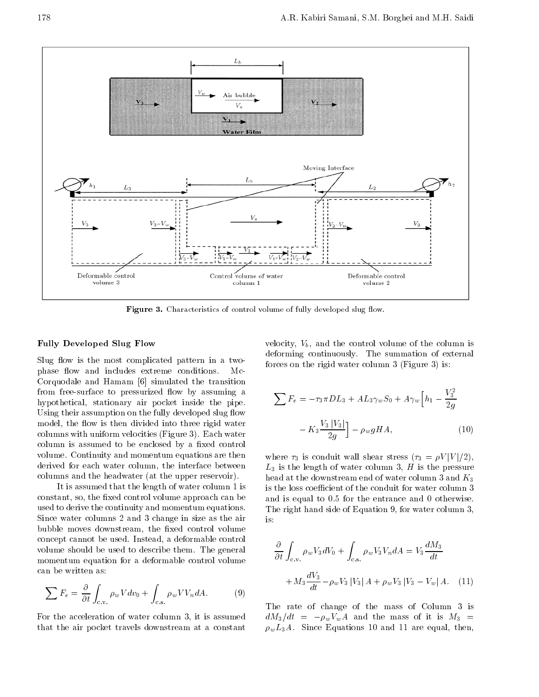

**Figure 3.** Characteristic of control volume of fully developed slug how.

#### Fully Developed Slug Flow

Slug flow is the most complicated pattern in a twophase flow and includes extreme conditions. Me-Corquodale and Hamam [6] simulated the transition from free-surface to pressurized flow by assuming a hypothetical, stationary air pocket inside the pipe. Using their assumption on the fully developed slug flow model, the flow is then divided into three rigid water columns with uniform velocities (Figure 3). Each water column is assumed to be enclosed by a fixed control volume. Continuity and momentum equations are then derived for each water column, the interface between columns and the headwater (at the upper reservoir).

It is assumed that the length of water column 1 is constant, so, the fixed control volume approach can be used to derive the continuity and momentum equations. Since water columns 2 and 3 change in size as the air bubble moves downstream, the fixed control volume concept cannot be used. Instead, a deformable control volume should be used to describe them. The general momentum equation for <sup>a</sup> deformable control volume can be written as:

$$
\sum F_e = \frac{\partial}{\partial t} \int_{c.v.} \rho_w V dv_0 + \int_{c.s.} \rho_w V V_n dA. \tag{9}
$$

For the acceleration of water column 3, it is assumed  $dM_3/dt =$ that the air pocket travels downstream at <sup>a</sup> constant

velocity,  $V_b$ , and the control volume of the column is deforming continuously. The summation of external forces on the rigid water column 3 (Figure 3) is:

$$
\sum F_e = \tau_3 \pi D L_3 + A L_3 \gamma_w S_0 + A \gamma_w \left[ h_1 - \frac{V_3^2}{2g} \right]
$$

$$
K_3 \frac{V_3 |V_3|}{2g} \bigg] \rho_w g H A, \qquad (10)
$$

where  $\tau_3$  is conduit wall shear stress  $(\tau_3 = \rho V |V|/2)$ ,  $L_3$  is the length of water column 3,  $H$  is the pressure head at the downstream end of water column 3 and  $K_3$ is the loss coefficient of the conduit for water column 3 and isequal to 0.5 for the entrance and <sup>0</sup> otherwise. The right hand side of Equation 9, for water column 3,

$$
\frac{\partial}{\partial t} \int_{c.v.} \rho_w V_3 dV_0 + \int_{c.s.} \rho_w V_3 V_n dA = V_3 \frac{dM_3}{dt}
$$

$$
+ M_3 \frac{dV_3}{dt} \quad \rho_w V_3 |V_3| A + \rho_w V_3 |V_3| V_w |A. \quad (11)
$$

The rate of change of the mass of Column <sup>3</sup> is  $\rho_w V_w A$  and the mass of it is  $M_3$  =  $\rho_w L_3 A$ . Since Equations 10 and 11 are equal, then,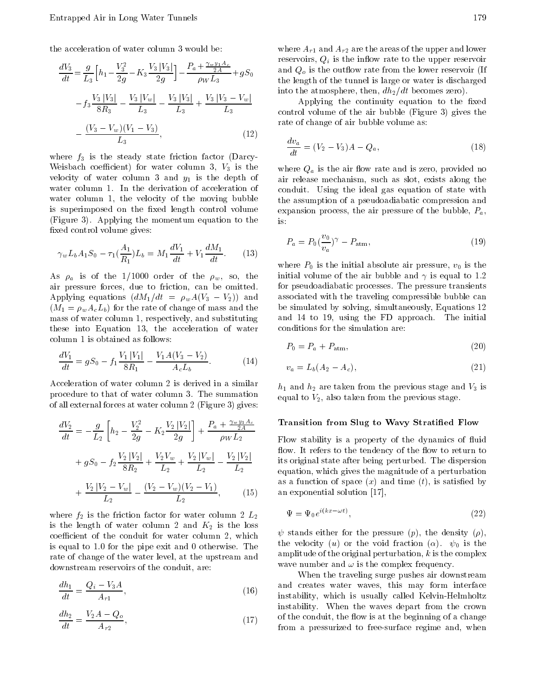the acceleration of water column 3 would be:

$$
\frac{dV_3}{dt} = \frac{g}{L_3} \left[ h_1 - \frac{V_3^2}{2g} - K_3 \frac{V_3 |V_3|}{2g} \right] - \frac{P_a + \frac{\gamma_w y_1 A_c}{2A}}{\rho_W L_3} + gS_0 \qquad \text{a}
$$
\n
$$
f_3 \frac{V_3 |V_3|}{8R_3} - \frac{V_3 |V_w|}{L_3} - \frac{V_3 |V_3|}{L_3} + \frac{V_3 |V_3 - V_w|}{L_3} \qquad \text{or}
$$
\n
$$
\frac{(V_3 - V_w)(V_1 - V_3)}{L_3}, \qquad (12)
$$

where  $f_3$  is the steady state friction factor (Darcy-Weisbach coefficient) for water column 3,  $V_3$  is the velocity of water column 3 and  $y_1$  is the depth of water column 1. In the derivation of acceleration of water column 1, the velocity of the moving bubble is superimposed on the fixed length control volume (Figure 3). Applying the momentum equation to the fixed control volume gives:

$$
\gamma_w L_b A_1 S_0 \quad \tau_1(\frac{A_1}{R_1}) L_b = M_1 \frac{dV_1}{dt} + V_1 \frac{dM_1}{dt}.
$$
 (13)

As  $\rho_a$  is of the 1/1000 order of the  $\rho_w$ , so, the air pressure forces, due to friction, can be omitted. Applying equations  $(dM_1/dt = \rho_w A(V_3 - V_2))$  and  $(M_1 = \rho_w A_c L_b)$  for the rate of change of mass and the mass of water column 1, respectively, and substituting these into Equation 13, the acceleration of water column 1 is obtained as follows:

$$
\frac{dV_1}{dt} = gS_0 \t f_1 \frac{V_1 |V_1|}{8R_1} \frac{V_1 A (V_3 V_2)}{A_c L_b}.
$$
 (14)

Acceleration of water column 2 is derived in a similar procedure to that of water column 3. The summation of all external forces at water column 2 (Figure 3) gives:

$$
\frac{dV_2}{dt} = \frac{g}{L_2} \left[ h_2 - \frac{V_2^2}{2g} - K_2 \frac{V_2 |V_2|}{2g} \right] + \frac{P_a + \frac{\gamma_w y_1 A_c}{2A}}{\rho_W L_2} \qquad \frac{\mathbf{T}}{\mathbf{F}}
$$

$$
+ gS_0 - f_2 \frac{V_2 |V_2|}{8R_2} + \frac{V_2 V_w}{L_2} + \frac{V_2 |V_w|}{L_2} - \frac{V_2 |V_2|}{L_2} \qquad \text{if } \frac{\mathbf{f}}{\mathbf{g}} \right]
$$

$$
+ \frac{V_2 |V_2 - V_w|}{L_2} - \frac{(V_2 - V_w)(V_2 - V_1)}{L_2}, \qquad (15) \qquad \text{a}
$$

where  $f_2$  is the friction factor for water column 2  $L_2$ is the length of water column 2 and  $K_2$  is the loss coefficient of the conduit for water column 2, which is equal to 1.0 for the pipe exit and 0 otherwise. The rate of change of the water level, at the upstream and downstream reservoirs of the conduit, are:

$$
\frac{dh_1}{dt} = \frac{Q_i V_3 A}{A_{r1}},
$$
\n<sup>a</sup>

$$
\frac{dh_2}{dt} = \frac{V_2 A}{A_{r2}} \frac{Q_o}{t},
$$
\n(17)

where  $A_{r1}$  and  $A_{r2}$  are the areas of the upper and lower reservoirs,  $Q_i$  is the inflow rate to the upper reservoir and  $Q<sub>o</sub>$  is the outflow rate from the lower reservoir (If the length of the tunnel is large or water is discharged into the atmosphere, then,  $dh_2/dt$  becomes zero).

Applying the continuity equation to the fixed control volume of the air bubble (Figure 3) gives the rate of change of air bubble volume as:

$$
\frac{dv_a}{dt} = (V_2 \quad V_3)A \quad Q_a,\tag{18}
$$

where  $Q_a$  is the air flow rate and is zero, provided no air release mechanism, such as slot, exists along the conduit. Using the ideal gas equation of state with the assumption of a pseudoadiabatic compression and expansion process, the air pressure of the bubble,  $P_a$ , is:

$$
P_a = P_0(\frac{v_0}{v_a})^\gamma \quad P_{\text{atm}},\tag{19}
$$

where  $P_0$  is the initial absolute air pressure,  $v_0$  is the initial volume of the air bubble and  $\gamma$  is equal to 1.2 for pseudoadiabatic processes. The pressure transients associated with the traveling compressible bubble can be simulated by solving, simultaneously, Equations 12 and <sup>14</sup> to 19, using the FD approach. The initial conditions for the simulation are:

$$
P_0 = P_a + P_{\text{atm}},\tag{20}
$$

$$
v_a = L_b(A_2 \quad A_c), \tag{21}
$$

 $h_1$  and  $h_2$  are taken from the previous stage and  $V_3$  is equal to  $V_2$ , also taken from the previous stage.

#### Transition from Slug to Wavy Stratied Flow

Flow stability is a property of the dynamics of fluid flow. It refers to the tendency of the flow to return to its original state after being perturbed. The dispersion equation, which gives the magnitude of a perturbation as a function of space  $(x)$  and time  $(t)$ , is satisfied by an exponential solution [17],

$$
\Psi = \Psi_0 e^{i(kx - \omega t)},\tag{22}
$$

 $\psi$  stands either for the pressure (p), the density ( $\rho$ ), the velocity (*u*) or the void fraction ( $\alpha$ ).  $\psi_0$  is the amplitude of the original perturbation,  $k$  is the complex wave number and  $\omega$  is the complex frequency.

When the traveling surge pushes air downstream and creates water waves, this may form interface instability, which is usually called Kelvin-Helmholtz instability. When the waves depart from the crown of the conduit, the flow is at the beginning of a change from <sup>a</sup> pressurized to free-surface regime and, when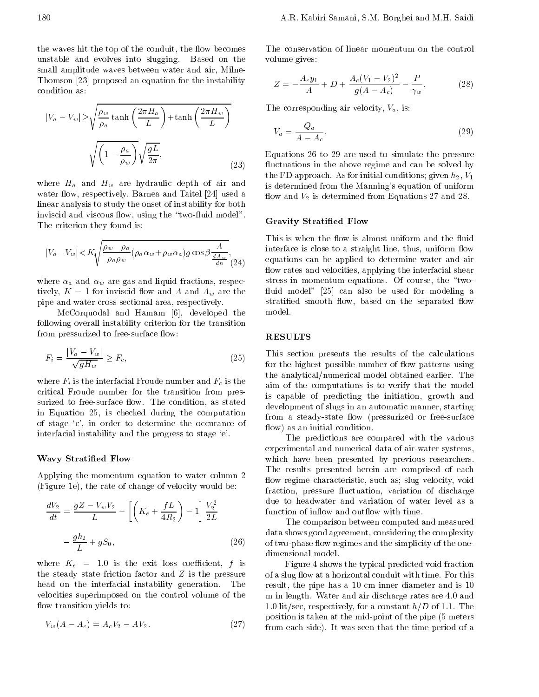the waves hit the top of the conduit, the flow becomes unstable and evolves into slugging. Based on the small amplitude waves between water and air, Milne-Thomson [23] proposed an equation for the instability condition as:

$$
|V_a - V_w| \ge \sqrt{\frac{\rho_w}{\rho_a} \tanh\left(\frac{2\pi H_a}{L}\right) + \tanh\left(\frac{2\pi H_w}{L}\right)}
$$
Tho
$$
\sqrt{\left(1 - \frac{\rho_a}{\rho_w}\right)} \sqrt{\frac{gL}{2\pi}},
$$
Eq1\nEqu

where  $H_a$  and  $H_w$  are hydraulic depth of air and water flow, respectively. Barnea and Taitel [24] used a linear analysis to study the onset of instability for both inviscid and viscous flow, using the "two-fluid model". The criterion they found is:

$$
|V_a - V_w| < K \sqrt{\frac{\rho_w - \rho_a}{\rho_a \rho_w} (\rho_a \alpha_w + \rho_w \alpha_a) g \cos \beta \frac{A}{\frac{dA_w}{dh}}}, \tag{24}
$$

where  $\alpha_a$  and  $\alpha_w$  are gas and liquid fractions, respectively,  $K = 1$  for inviscid flow and A and  $A_w$  are the pipe and water cross sectional area, respectively.

McCorquodal and Hamam [6], developed the following overall instability criterion for the transition from pressurized to free-surface flow:

$$
F_i = \frac{|V_a - V_w|}{\sqrt{gH_w}} \ge F_c,
$$
\n(25)  $\frac{\text{T}}{\text{fc}}$ 

where  $F_i$  is the interfacial Froude number and  $F_c$  is the critical Froude number for the transition from pressurized to free-surface flow. The condition, as stated in Equation 25, is checked during the computation of stage `c', in order to determine the occurance of interfacial instability and the progress to stage `e'.

#### Wavy Stratied Flow

Applying the momentum equation to water column <sup>2</sup> (Figure 1e), the rate of change of velocity would be:

$$
\frac{dV_2}{dt} = \frac{gZ}{L} \frac{V_w V_2}{L} \left[ \left( K_e + \frac{fL}{4R_2} \right) - 1 \right] \frac{V_2^2}{2L} \qquad \text{if } \\ \frac{gh_2}{L} + gS_0, \qquad (26) \qquad \text{or} \qquad (27)
$$

where  $K_e = 1.0$  is the exit loss coefficient, f is the steady state friction factor and  $Z$  is the pressure head on the interfacial instability generation. The velocities superimposed on the control volume of the flow transition yields to:

$$
V_w(A \t A_c) = A_c V_2 \t A V_2. \t (27) \t \frac{P}{f_1}
$$

The conservation of linear momentum on the control volume gives:

$$
Z = \frac{A_c y_1}{A} + D + \frac{A_c (V_1 - V_2)^2}{g(A - A_c)} - \frac{P}{\gamma_w}.
$$
 (28)

The corresponding air velocity,  $V_a$ , is:

$$
V_a = \frac{Q_a}{A_A_c}.\tag{29}
$$

 $\mathcal{U}$  and can be solved by solved by solved by solved by solved by solved by solved by solved by solved by solved by solved by solved by solved by solved by solved by solved by solved by solved by solved by solved by s Equations <sup>26</sup> to <sup>29</sup> are used to simulate the pressure the FD approach. As for initial conditions; given  $h_2$ ,  $V_1$ is determined from the Manning's equation of uniform flow and  $V_2$  is determined from Equations 27 and 28.

# Gravity Stratied Flow

 $(z_4)$  equations can be applied to determine water and air This is when the flow is almost uniform and the fluid interface is close to a straight line, thus, uniform flow flow rates and velocities, applying the interfacial shear stress in momentum equations. Of course, the "twofluid model" [25] can also be used for modeling a stratified smooth flow, based on the separated flow

# RESULTS

This section presents the results of the calculations for the highest possible number of flow patterns using the analytical/numerical model obtained earlier. The aim of the computations is to verify that the model is capable of predicting the initiation, growth and development of slugs in an automatic manner, starting from a steady-state flow (pressurized or free-surface flow) as an initial condition.

The predictions are compared with the various experimental and numerical data of air-water systems, which have been presented by previous researchers. The results presented herein are comprised of each flow regime characteristic, such as; slug velocity, void fraction, pressure fluctuation, variation of discharge due to headwater and variation of water level as <sup>a</sup> function of inflow and outflow with time.

The comparison between computed and measured data shows good agreement, considering the complexity of two-phase flow regimes and the simplicity of the onedimensional model.

Figure 4 shows the typical predicted void fraction of a slug flow at a horizontal conduit with time. For this result, the pipe has a 10 cm inner diameter and is 10 <sup>m</sup> in length. Water and air discharge rates are 4.0 and 1.0 lit/sec, respectively, for a constant  $h/D$  of 1.1. The position is taken at the mid-point of the pipe (5 meters from each side). It was seen that the time period of a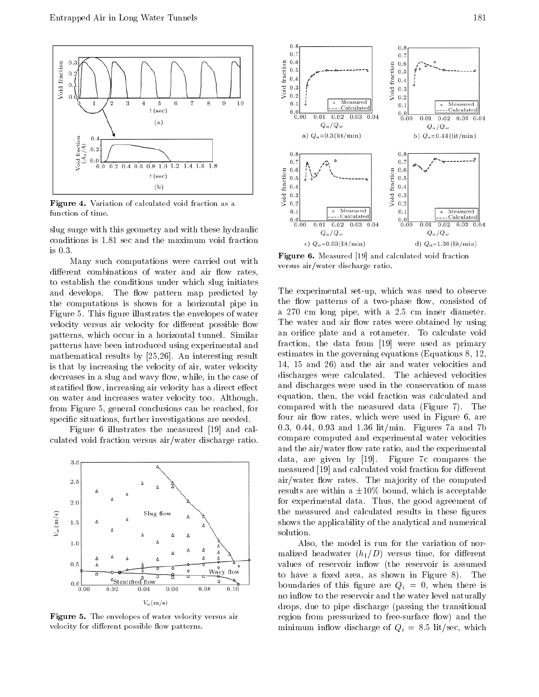

Figure 4. Variation of calculated void fraction as a function of time.

slug surge with this geometry and with these hydraulic conditions is 1.81 sec and the maximum void fraction is  $0.3$ .

Many such computations were carried out with different combinations of water and air flow rates, to establish the conditions under which slug initiates and develops. The flow pattern map predicted by the computations is shown for <sup>a</sup> horizontal pipe in Figure 5. This figure illustrates the envelopes of water velocity versus air velocity for different possible flow patterns, which occur in <sup>a</sup> horizontal tunnel. Similar patterns have been introduced using experimental and mathematical results by [25,26]. An interesting result is that by increasing the velocity of air, water velocity decreases in a slug and wavy flow, while, in the case of stratified flow, increasing air velocity has a direct effect on water and increases water velocity too. Although, from Figure 5, general conclusions can be reached, for specific situations, further investigations are needed.

Figure <sup>6</sup> illustrates the measured [19] and calculated void fraction versus air/water discharge ratio.



Figure 5. The envelopes of water velocity versus air velocity for different possible flow patterns.



Figure 6. Measured [19] and calculated void fraction versus air/water discharge ratio.

The experimental set-up, which was used to observe the flow patterns of a two-phase flow, consisted of <sup>a</sup> <sup>270</sup> cm long pipe, with <sup>a</sup> 2.5 cm inner diameter. The water and air flow rates were obtained by using an orifice plate and a rotameter. To calculate void fraction, the data from [19] were used as primary estimates in the governing equations (Equations 8, 12, 14, <sup>15</sup> and 26) and the air and water velocities and discharges were calculated. The achieved velocities and discharges were used in the conservation of mass equation, then, the void fraction was calculated and compared with the measured data (Figure 7). The four air flow rates, which were used in Figure 6, are 0.3, 0.44, 0.93 and 1.36 lit/min. Figures 7a and 7b compare computed and experimental water velocities and the air/water flow rate ratio, and the experimental data, are given by [19]. Figure 7c compares the measured [19] and calculated void fraction for different air/water flow rates. The majority of the computed results are within a  $\pm 10\%$  bound, which is acceptable for experimental data. Thus, the good agreement of the measured and calculated results in these figures shows the applicability of the analytical and numerical solution.

Also, the model is run for the variation of normalized headwater  $(h_1/D)$  versus time, for different values of reservoir inflow (the reservoir is assumed to have a fixed area, as shown in Figure 8). The boundaries of this figure are  $Q_i = 0$ , when there is no inflow to the reservoir and the water level naturally drops, due to pipe discharge (passing the transitional region from pressurized to free-surface flow) and the minimum inflow discharge of  $Q_i = 8.5$  lit/sec, which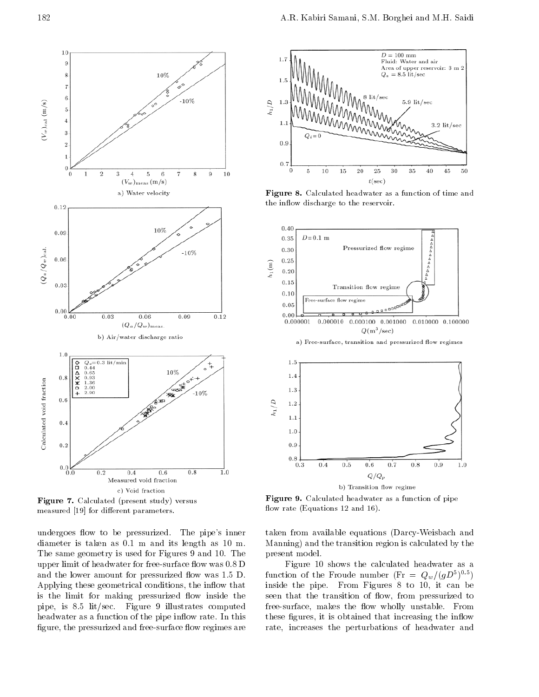

Figure 7. Calculated (present study) versus measured [19] for different parameters.

undergoes flow to be pressurized. The pipe's inner diameter is taken as 0.1 m and its length as 10 m. The same geometry is used for Figures 9 and 10. The upper limit of headwater for free-surface flow was 0.8 D and the lower amount for pressurized flow was 1.5 D. Applying these geometrical conditions, the inflow that is the limit for making pressurized flow inside the pipe, is 8.5 lit/sec. Figure <sup>9</sup> illustrates computed headwater as a function of the pipe inflow rate. In this figure, the pressurized and free-surface flow regimes are



Figure 8. Calculated headwater as a function of time and the inflow discharge to the reservoir.



Figure 9. Calculated headwater as a function of pipe flow rate (Equations 12 and 16).

taken from available equations (Darcy-Weisbach and Manning) and the transition region is calculated by the present model.

Figure <sup>10</sup> shows the calculated headwater as <sup>a</sup> function of the Froude number (Fr  $=$   $Q_w/(gD^*)$  )  $\hspace{0.5cm}$ inside the pipe. From Figures <sup>8</sup> to 10, it can be seen that the transition of flow, from pressurized to free-surface, makes the flow wholly unstable. From these figures, it is obtained that increasing the inflow rate, increases the perturbations of headwater and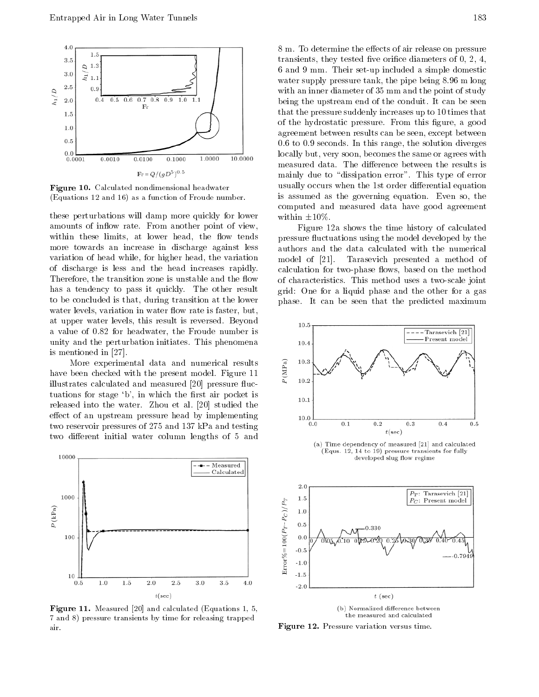

Figure 10. Calculated nondimensional headwater (Equations 12 and 16) as a function of Froude number.

these perturbations will damp more quickly for lower amounts of inflow rate. From another point of view, within these limits, at lower head, the flow tends more towards an increase in discharge against less variation of head while, for higher head, the variation model of [21]. of discharge is less and the head increases rapidly. Therefore, the transition zone is unstable and the flow has <sup>a</sup> tendency to pass it quickly. The other result to be concluded is that, during transition at the lower water levels, variation in water flow rate is faster, but, at upper water levels, this result is reversed. Beyond <sup>a</sup> value of 0.82 for headwater, the Froude number is unity and the perturbation initiates. This phenomena is mentioned in [27].

More experimental data and numerical results<br>been checked with the present model. Figure 11 have been checked with the present model. Figure 11 illustrates calculated and measured [20] pressure fluctuations for stage  $b'$ , in which the first air pocket is released into the water. Zhou et al. [20] studied the effect of an upstream pressure head by implementing two reservoir pressures of 275 and 137 kPa and testing two different initial water column lengths of 5 and



Figure 11. Measured [20] and calculated (Equations 1, 5, 7 and 8) pressure transients by time for releasing trapped air.

8 m. To determine the effects of air release on pressure transients, they tested five orifice diameters of  $0, 2, 4$ , <sup>6</sup> and 9 mm. Their set-up included a simple domestic water supply pressure tank, the pipe being 8.96 m long with an inner diameter of 35 mm and the point of study being the upstream end of the conduit. It can be seen that the pressure suddenly increases up to 10 times that of the hydrostatic pressure. From this figure, a good agreement between results can be seen, except between 0.6 to 0.9 seconds. In this range, the solution diverges locally but, very soon, becomes the same or agrees with measured data. The difference between the results is mainly due to "dissipation error". This type of error usually occurs when the 1st order differential equation is assumed as the governing equation. Even so, the computed and measured data have good agreement within  $\pm 10\%$ .

Figure 12a shows the time history of calculated pressure fluctuations using the model developed by the authors and the data calculated with the numerical Tarasevich presented a method of calculation for two-phase flows, based on the method of characteristics. This method uses a two-scale joint grid: One for <sup>a</sup> liquid phase and the other for <sup>a</sup> gas phase. It can be seen that the predicted maximum



(a) Time dependency of measured [21] and calculated (Equs. 12, 14 to 19) pressure transients for fully developed slug flow regime



Figure 12. Pressure variation versus time.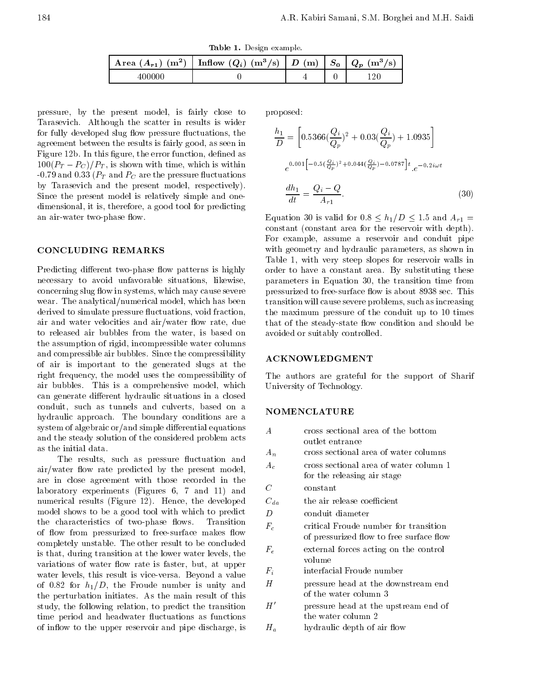Table 1. Design example.

| Area $(A_{r1})$ (m <sup>2</sup> )   1 | Inflow $(Q_i)$ $(m^3/s)$   $D(m)$ | 5 <sub>0</sub> | $(m^{\circ}$<br>'s<br>$\omega_{\rm n}$ |
|---------------------------------------|-----------------------------------|----------------|----------------------------------------|
| 1 H H                                 |                                   |                | ാറ                                     |

pressure, by the present model, is fairly close to Tarasevich. Although the scatter in results is wider for fully developed slug flow pressure fluctuations, the agreement between the results is fairly good, as seen in Figure 12b. In this figure, the error function, defined as  $100(P_T \t P_C)/P_T$ , is shown with time, which is within -0.79 and 0.33 ( $P_T$  and  $P_C$  are the pressure fluctuations by Tarasevich and the present model, respectively). Since the present model is relatively simple and onedimensional, it is, therefore, a good tool for predicting an air-water two-phase flow.

## CONCLUDING REMARKS

Predicting different two-phase flow patterns is highly necessary to avoid unfavorable situations, likewise, concerning slug flow in systems, which may cause severe wear. The analytical/numerical model, which has been derived to simulate pressure fluctuations, void fraction, air and water velocities and air/water flow rate, due to released air bubbles from the water, is based on the assumption of rigid, incompressible water columns and compressible air bubbles. Since the compressibility of air is important to the generated slugs at the right frequency, the model uses the compressibility of air bubbles. This is <sup>a</sup> comprehensive model, which can generate different hydraulic situations in a closed conduit, such as tunnels and culverts, based on <sup>a</sup> hydraulic approach. The boundary conditions are <sup>a</sup> system of algebraic or/and simple differential equations and the steady solution of the considered problem acts

The results, such as pressure fluctuation and air/water flow rate predicted by the present model, are in close agreement with those recorded in the laboratory experiments (Figures 6, <sup>7</sup> and 11) and numerical results (Figure 12). Hence, the developed model shows to be a good tool with which to predict the characteristics of two-phase flows. Transition of flow from pressurized to free-surface makes flow completely unstable. The other result to be concluded is that, during transition at the lower water levels, the variations of water flow rate is faster, but, at upper water levels, this result is vice-versa. Beyond a value of 0.82 for  $h_1/D$ , the Froude number is unity and the perturbation initiates. As the main result of this study, the following relation, to predict the transition time period and headwater fluctuations as functions of in
ow to the upper reservoir and pipe discharge, is proposed:

$$
\frac{h_1}{D} = \left[ 0.5366(\frac{Q_i}{Q_p})^2 + 0.03(\frac{Q_i}{Q_p}) + 1.0935 \right]
$$

$$
e^{0.001} \left[ 0.5(\frac{Q_i}{Q_p})^2 + 0.044(\frac{Q_i}{Q_p}) - 0.0787 \right] t \cdot e^{-0.2i\omega t}
$$

$$
\frac{dh_1}{dt} = \frac{Q_i - Q}{A_{r1}}.
$$
(30)

Equation 30 is valid for  $0.8 \le h_1/D \le 1.5$  and  $A_{r1} =$ constant (constant area for the reservoir with depth). For example, assume <sup>a</sup> reservoir and conduit pipe with geometry and hydraulic parameters, as shown in Table 1, with very steep slopes for reservoir walls in order to have <sup>a</sup> constant area. By substituting these parameters in Equation 30, the transition time from pressurized to free-surface flow is about 8938 sec. This transition will cause severe problems, such as increasing the maximum pressure of the conduit up to <sup>10</sup> times that of the steady-state flow condition and should be avoided or suitably controlled.

# ACKNOWLEDGMENT

The authors are grateful for the support of Sharif University of Technology.

# NOMENCLATURE

| $\overline{A}$ | cross sectional area of the bottom       |
|----------------|------------------------------------------|
|                | outlet entrance                          |
| $A_n$          | cross sectional area of water columns    |
| $A_c$          | cross sectional area of water column 1   |
|                | for the releasing air stage              |
| C              | constant                                 |
| $C_{da}$       | the air release coefficient              |
| D              | conduit diameter                         |
| $F_c$          | critical Froude number for transition    |
|                | of pressurized flow to free surface flow |
| $F_e$          | external forces acting on the control    |
|                | volume                                   |
| $F_i$          | interfacial Froude number                |
| H              | pressure head at the downstream end      |
|                | of the water column 3                    |
| H'             | pressure head at the upstream end of     |
|                | the water column 2                       |
| $H_a$          | hydraulic depth of air flow              |
|                |                                          |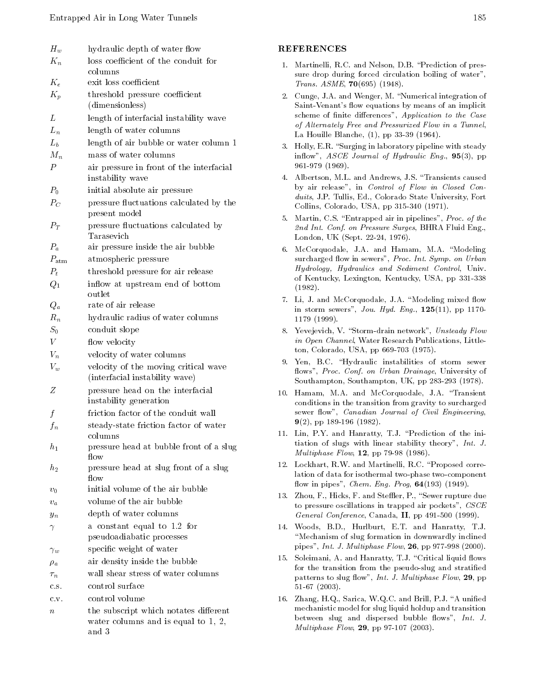| $H_w$            | hydraulic depth of water flow                                |
|------------------|--------------------------------------------------------------|
| $K_n$            | loss coefficient of the conduit for                          |
|                  | columns                                                      |
| $K_e$            | exit loss coefficient                                        |
| $K_p$            | threshold pressure coefficient                               |
|                  | (dimensionless)                                              |
| L                | length of interfacial instability wave                       |
| $L_n$            | length of water columns                                      |
| $L_b$            | length of air bubble or water column 1                       |
| $M_n$            | mass of water columns                                        |
| $\, P \,$        | air pressure in front of the interfacial<br>instability wave |
| $P_0$            | initial absolute air pressure                                |
| $P_C$            | pressure fluctuations calculated by the<br>present model     |
| $P_T$            | pressure fluctuations calculated by<br>Tarasevich            |
| $P_a$            | air pressure inside the air bubble                           |
| $P_{\rm atm}$    | atmospheric pressure                                         |
| $P_t$            | threshold pressure for air release                           |
| $Q_1$            | inflow at upstream end of bottom                             |
|                  | outlet                                                       |
| $Q_a$            | rate of air release                                          |
| $R_n$            | hydraulic radius of water columns                            |
| $S_0$            | conduit slope                                                |
| $\boldsymbol{V}$ | flow velocity                                                |
| $V_n$            | velocity of water columns                                    |
| $V_w$            | velocity of the moving critical wave                         |
|                  | (interfacial instability wave)                               |
| Z                | pressure head on the interfacial                             |
|                  | instability generation                                       |
| $\mathfrak{f}$   | friction factor of the conduit wall                          |
| $f_n$            | steady-state friction factor of water<br>columns             |
| $h_1$            | pressure head at bubble front of a slug<br>flow              |
| $h_2$            | pressure head at slug front of a slug<br>flow                |
| $v_0$            | initial volume of the air bubble                             |
| $v_a$            | volume of the air bubble                                     |
| $y_n$            | depth of water columns                                       |
| $\gamma$         | a constant equal to 1.2 for<br>pseudoadiabatic processes     |
| $\gamma_w$       | specific weight of water                                     |
| $\rho_a$         | air density inside the bubble                                |
| $\tau_n$         | wall shear stress of water columns                           |
| c.s.             | control surface                                              |
| C.V.             | control volume                                               |
| $\it{n}$         | the subscript which notates different                        |
|                  | water columns and is equal to $1, 2,$<br>and 3               |

## REFERENCES

- 1. Martinelli, R.C. and Nelson, D.B. \Prediction of pres sure drop during forced circulation boiling of water", Trans. ASME, 70(695) (1948).
- 2. Cunge, J.A. and Wenger, M. "Numerical integration of Saint-Venant's flow equations by means of an implicit scheme of finite differences", Application to the Case of Alternately Free and Pressurized Flow in a Tunnel, La Houille Blanche, (1), pp 33-39 (1964).
- 3. Holly, E.R. "Surging in laboratory pipeline with steady inflow",  $ASCE$  Journal of Hydraulic Eng.,  $95(3)$ , pp 961-979 (1969).
- 4. Albertson, M.L. and Andrews, J.S. \Transients caused by air release", in Control of Flow in Closed Conduits, J.P. Tullis, Ed., Colorado State University, Fort Collins, Colorado, USA, pp 315-340 (1971).
- 5. Martin, C.S. "Entrapped air in pipelines", Proc. of the 2nd Int. Conf. on Pressure Surges, BHRA Fluid Eng., London, UK (Sept. 22-24, 1976).
- 6. McCorquodale, J.A. and Hamam, M.A. "Modeling surcharged flow in sewers", Proc. Int. Symp. on Urban Hydrology, Hydraulics and Sediment Control, Univ. of Kentucky, Lexington, Kentucky, USA, pp 331-338  $\sim$   $\sim$   $\sim$   $\sim$   $\sim$   $\sim$
- 7. Li, J. and McCorquodale, J.A. "Modeling mixed flow in storm sewers", Jou. Hyd. Eng., 125(11), pp 1170- <sup>1179</sup> (1999).
- 8. Yevejevich, V. "Storm-drain network", Unsteady Flow in Open Channel, Water Research Publications, Littleton, Colorado, USA, pp 669-703 (1975).
- 9. Yen, B.C. "Hydraulic instabilities of storm sewer flows", Proc. Conf. on Urban Drainage, University of Southampton, Southampton, UK, pp 283-293 (1978).
- 10. Hamam, M.A. and McCorquodale, J.A. \Transient conditions in the transition from gravity to surcharged sewer flow", Canadian Journal of Civil Engineering, 9(2), pp 189-196 (1982).
- 11. Lin, P.Y. and Hanratty, T.J. \Prediction of the initiation of slugs with linear stability theory", Int. J. Multiphase Flow, 12, pp 79-98 (1986).
- 12. Lockhart, R.W. and Martinelli, R.C. \Proposed correlation of data for isothermal two-phase two-component flow in pipes", Chem. Eng. Prog,  $64(193)$  (1949).
- 13. Zhou, F., Hicks, F. and Steffler, P., "Sewer rupture due to pressure oscillations in trapped air pockets", CSCE General Conference, Canada, II, pp  $491-500$  (1999).
- 14. Woods, B.D., Hurlburt, E.T. and Hanratty, T.J. "Mechanism of slug formation in downwardly inclined pipes", Int. J. Multiphase Flow, 26, pp 977-998 (2000).
- 15. Soleimani, A. and Hanratty, T.J. "Critical liquid flows for the transition from the pseudo-slug and stratied patterns to slug flow", Int. J. Multiphase Flow, 29, pp 51-67 (2003).
- 16. Zhang, H.Q., Sarica, W.Q.C. and Brill, P.J. "A unified mechanistic model for slug liquid holdup and transition between slug and dispersed bubble flows",  $Int. J.$ Multiphase Flow, 29, pp 97-107 (2003).